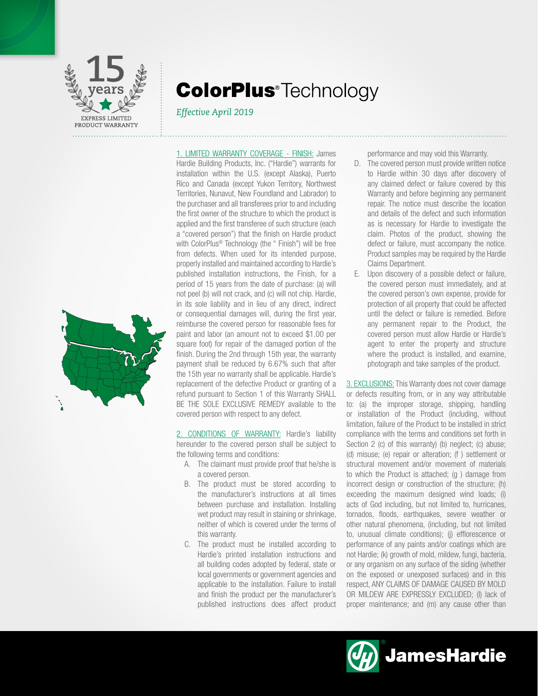

# **ColorPlus**<sup>®</sup>Technology

# *Effective April 2019*



1. LIMITED WARRANTY COVERAGE - FINISH: James Hardie Building Products, Inc. ("Hardie") warrants for installation within the U.S. (except Alaska), Puerto Rico and Canada (except Yukon Territory, Northwest Territories, Nunavut, New Foundland and Labrador) to the purchaser and all transferees prior to and including the first owner of the structure to which the product is applied and the first transferee of such structure (each a "covered person") that the finish on Hardie product with ColorPlus® Technology (the " Finish") will be free from defects. When used for its intended purpose, properly installed and maintained according to Hardie's published installation instructions, the Finish, for a period of 15 years from the date of purchase: (a) will not peel (b) will not crack, and (c) will not chip. Hardie, in its sole liability and in lieu of any direct, indirect or consequential damages will, during the first year, reimburse the covered person for reasonable fees for paint and labor (an amount not to exceed \$1.00 per square foot) for repair of the damaged portion of the finish. During the 2nd through 15th year, the warranty payment shall be reduced by 6.67% such that after the 15th year no warranty shall be applicable. Hardie's replacement of the defective Product or granting of a refund pursuant to Section 1 of this Warranty SHALL BE THE SOLE EXCLUSIVE REMEDY available to the covered person with respect to any defect.

2. CONDITIONS OF WARRANTY: Hardie's liability hereunder to the covered person shall be subject to the following terms and conditions:

- A. The claimant must provide proof that he/she is a covered person.
- B. The product must be stored according to the manufacturer's instructions at all times between purchase and installation. Installing wet product may result in staining or shrinkage, neither of which is covered under the terms of this warranty.
- C. The product must be installed according to Hardie's printed installation instructions and all building codes adopted by federal, state or local governments or government agencies and applicable to the installation. Failure to install and finish the product per the manufacturer's published instructions does affect product

performance and may void this Warranty.

- D. The covered person must provide written notice to Hardie within 30 days after discovery of any claimed defect or failure covered by this Warranty and before beginning any permanent repair. The notice must describe the location and details of the defect and such information as is necessary for Hardie to investigate the claim. Photos of the product, showing the defect or failure, must accompany the notice. Product samples may be required by the Hardie Claims Department.
- E. Upon discovery of a possible defect or failure, the covered person must immediately, and at the covered person's own expense, provide for protection of all property that could be affected until the defect or failure is remedied. Before any permanent repair to the Product, the covered person must allow Hardie or Hardie's agent to enter the property and structure where the product is installed, and examine, photograph and take samples of the product.

3. EXCLUSIONS: This Warranty does not cover damage or defects resulting from, or in any way attributable to: (a) the improper storage, shipping, handling or installation of the Product (including, without limitation, failure of the Product to be installed in strict compliance with the terms and conditions set forth in Section 2 (c) of this warranty) (b) neglect; (c) abuse; (d) misuse; (e) repair or alteration; (f ) settlement or structural movement and/or movement of materials to which the Product is attached; (g ) damage from incorrect design or construction of the structure; (h) exceeding the maximum designed wind loads; (i) acts of God including, but not limited to, hurricanes, tornados, floods, earthquakes, severe weather or other natural phenomena, (including, but not limited to, unusual climate conditions); (j) efflorescence or performance of any paints and/or coatings which are not Hardie; (k) growth of mold, mildew, fungi, bacteria, or any organism on any surface of the siding (whether on the exposed or unexposed surfaces) and in this respect, ANY CLAIMS OF DAMAGE CAUSED BY MOLD OR MILDEW ARE EXPRESSLY EXCLUDED; (I) lack of proper maintenance; and (m) any cause other than